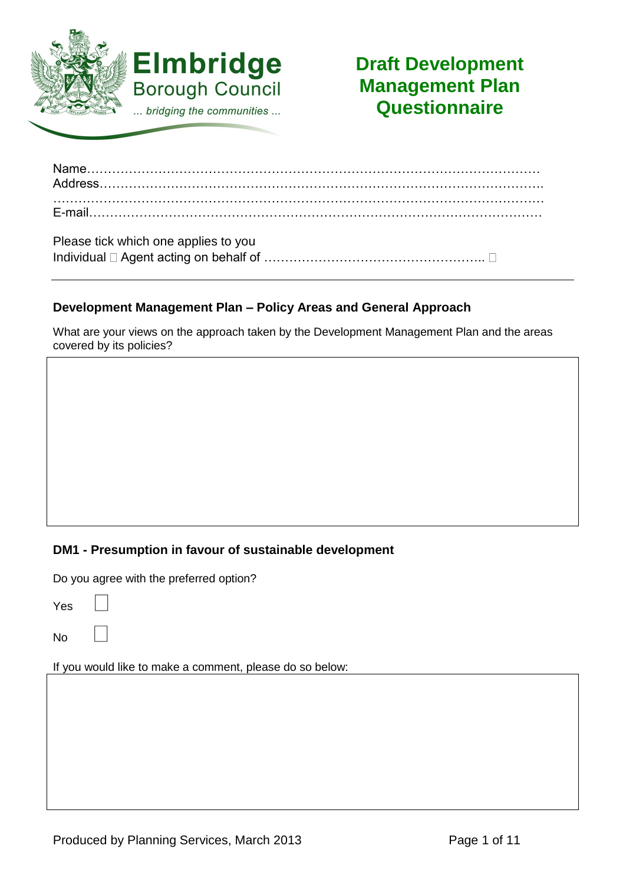

# **Draft Development Management Plan Questionnaire**

| Placea tight which and applied to you |  |
|---------------------------------------|--|

| FIGUST LICK WITCH OTE APPLIES TO YOU |  |
|--------------------------------------|--|
|                                      |  |

# **Development Management Plan – Policy Areas and General Approach**

What are your views on the approach taken by the Development Management Plan and the areas covered by its policies?

## **DM1 - Presumption in favour of sustainable development**

Do you agree with the preferred option?

Yes

No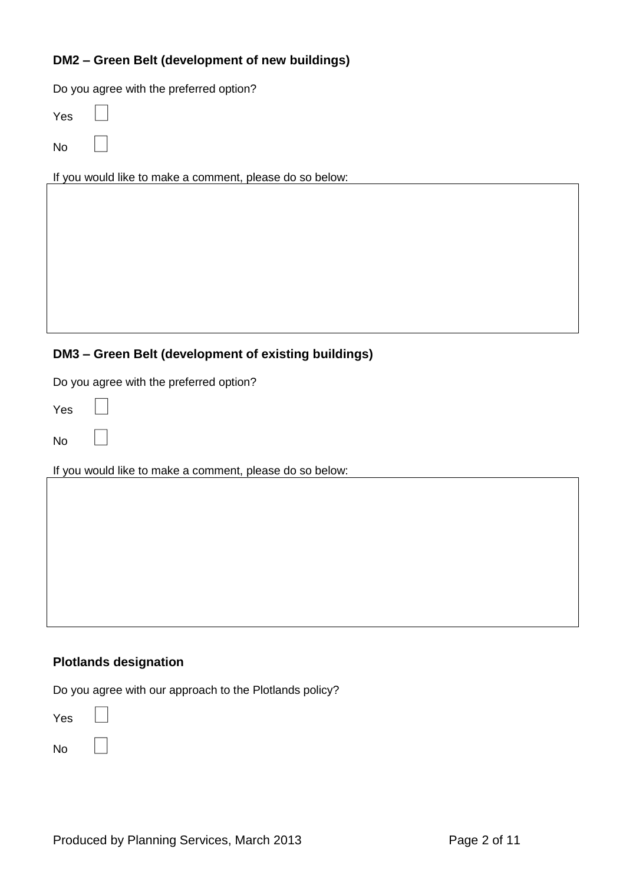## **DM2 – Green Belt (development of new buildings)**

Do you agree with the preferred option?

Yes

No

If you would like to make a comment, please do so below:

## **DM3 – Green Belt (development of existing buildings)**

Do you agree with the preferred option?

Yes

No

If you would like to make a comment, please do so below:

#### **Plotlands designation**

Do you agree with our approach to the Plotlands policy?

Yes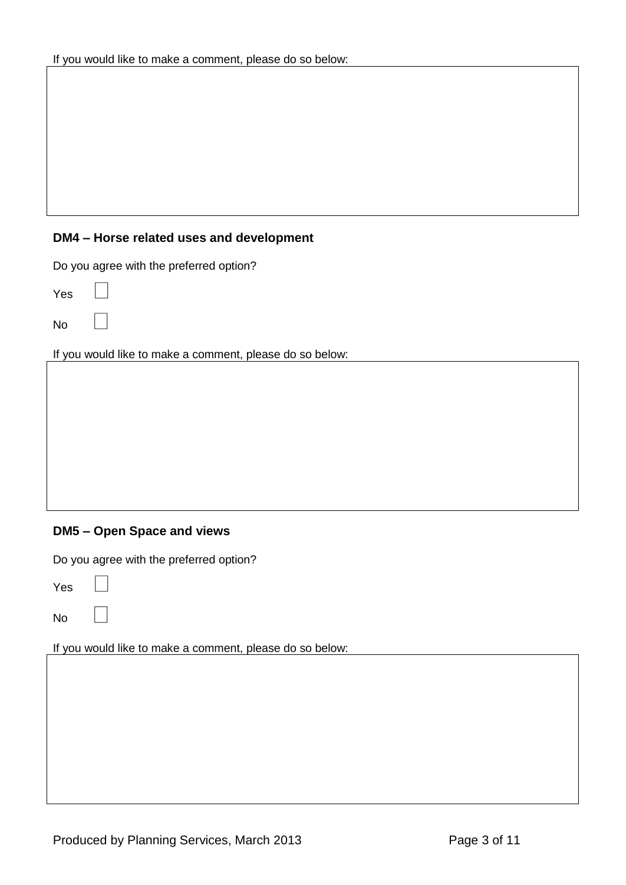## **DM4 – Horse related uses and development**

Do you agree with the preferred option?

Yes

No

If you would like to make a comment, please do so below:

# **DM5 – Open Space and views**

Do you agree with the preferred option?

Yes

No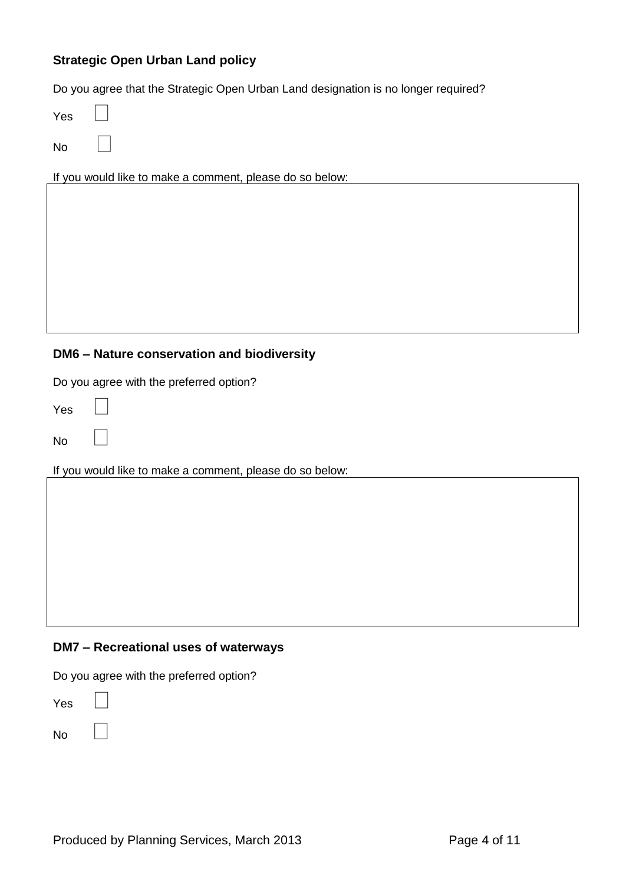# **Strategic Open Urban Land policy**

Do you agree that the Strategic Open Urban Land designation is no longer required?

Yes

No

If you would like to make a comment, please do so below:

## **DM6 – Nature conservation and biodiversity**

Do you agree with the preferred option?

Yes

No

If you would like to make a comment, please do so below:

#### **DM7 – Recreational uses of waterways**

Do you agree with the preferred option?

Yes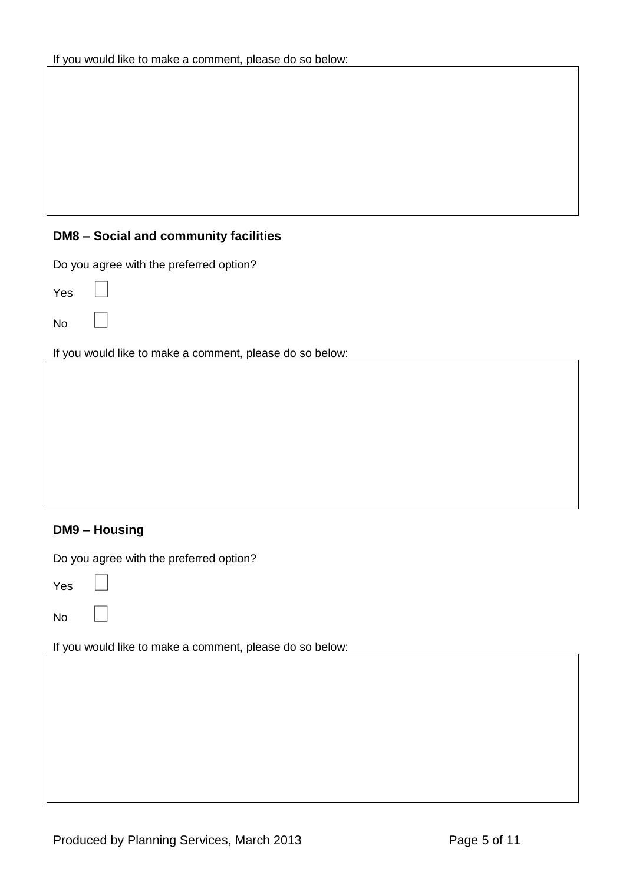# **DM8 – Social and community facilities**

Do you agree with the preferred option?

Yes

No

If you would like to make a comment, please do so below:

# **DM9 – Housing**

Do you agree with the preferred option?

Yes

No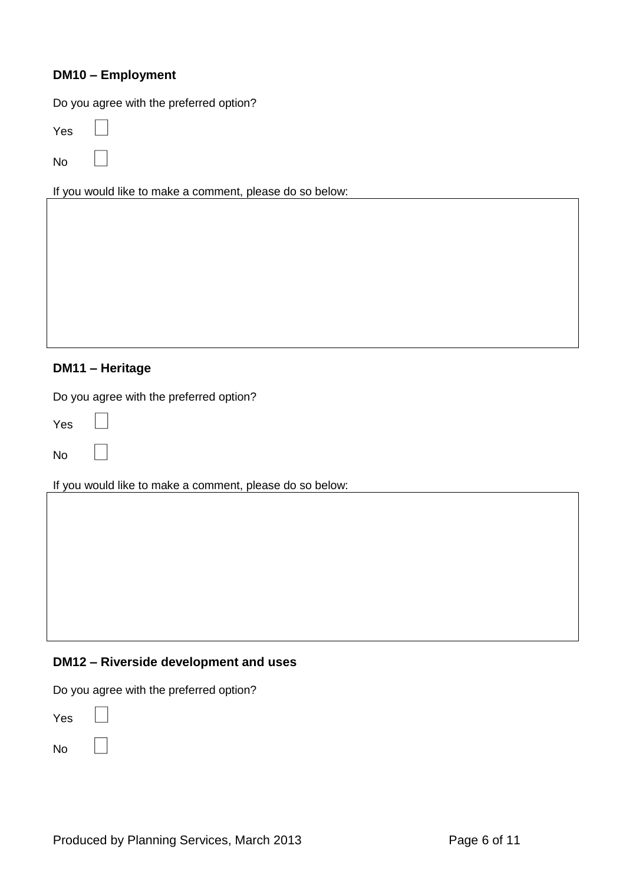### **DM10 – Employment**

Do you agree with the preferred option?

Yes

No

If you would like to make a comment, please do so below:

### **DM11 – Heritage**

Do you agree with the preferred option?

Yes

No

If you would like to make a comment, please do so below:

#### **DM12 – Riverside development and uses**

Do you agree with the preferred option?

Yes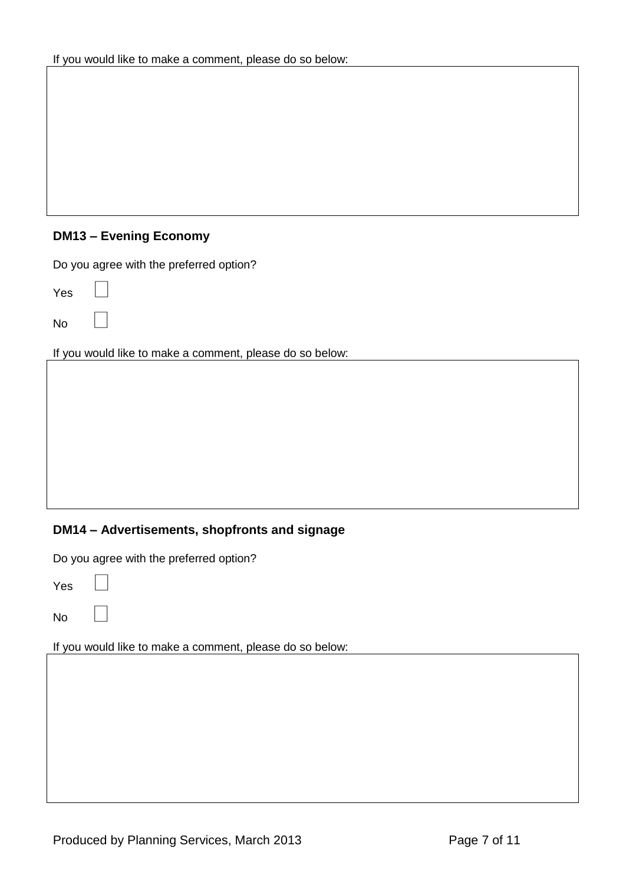# **DM13 – Evening Economy**

Do you agree with the preferred option?

Yes

No

If you would like to make a comment, please do so below:

# **DM14 – Advertisements, shopfronts and signage**

Do you agree with the preferred option?

Yes

No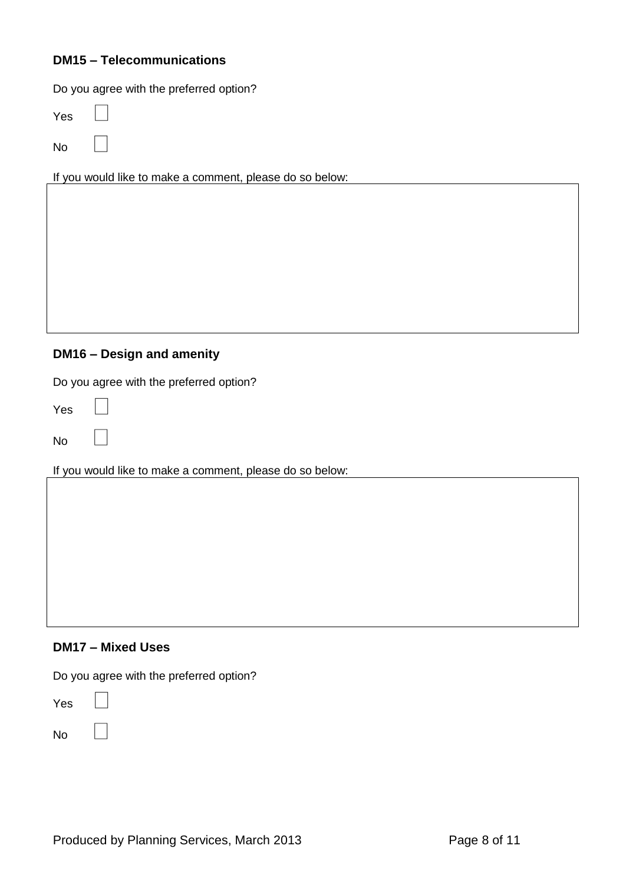### **DM15 – Telecommunications**

Do you agree with the preferred option?

Yes

No

If you would like to make a comment, please do so below:

## **DM16 – Design and amenity**

Do you agree with the preferred option?

Yes

No

If you would like to make a comment, please do so below:

#### **DM17 – Mixed Uses**

Do you agree with the preferred option?

Yes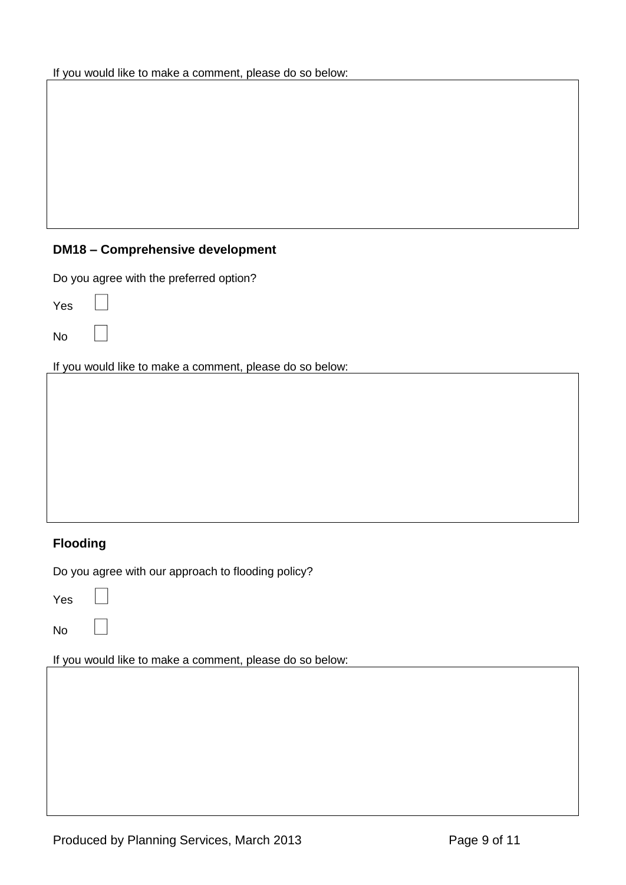# **DM18 – Comprehensive development**

Do you agree with the preferred option?

Yes

No

If you would like to make a comment, please do so below:

# **Flooding**

Do you agree with our approach to flooding policy?

Yes

No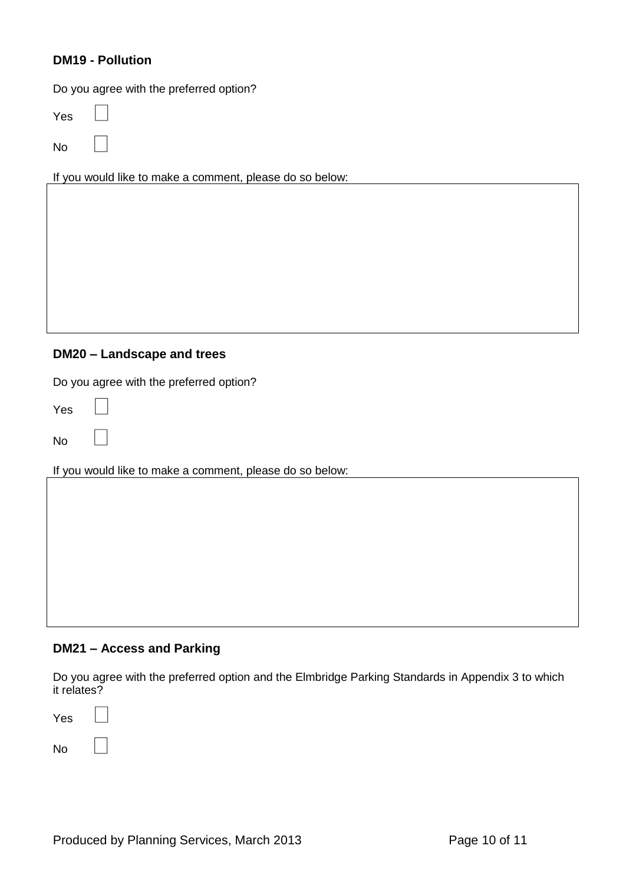## **DM19 - Pollution**

Do you agree with the preferred option?

Yes

No

If you would like to make a comment, please do so below:

#### **DM20 – Landscape and trees**

Do you agree with the preferred option?

Yes

No

If you would like to make a comment, please do so below:

#### **DM21 – Access and Parking**

Do you agree with the preferred option and the Elmbridge Parking Standards in Appendix 3 to which it relates?